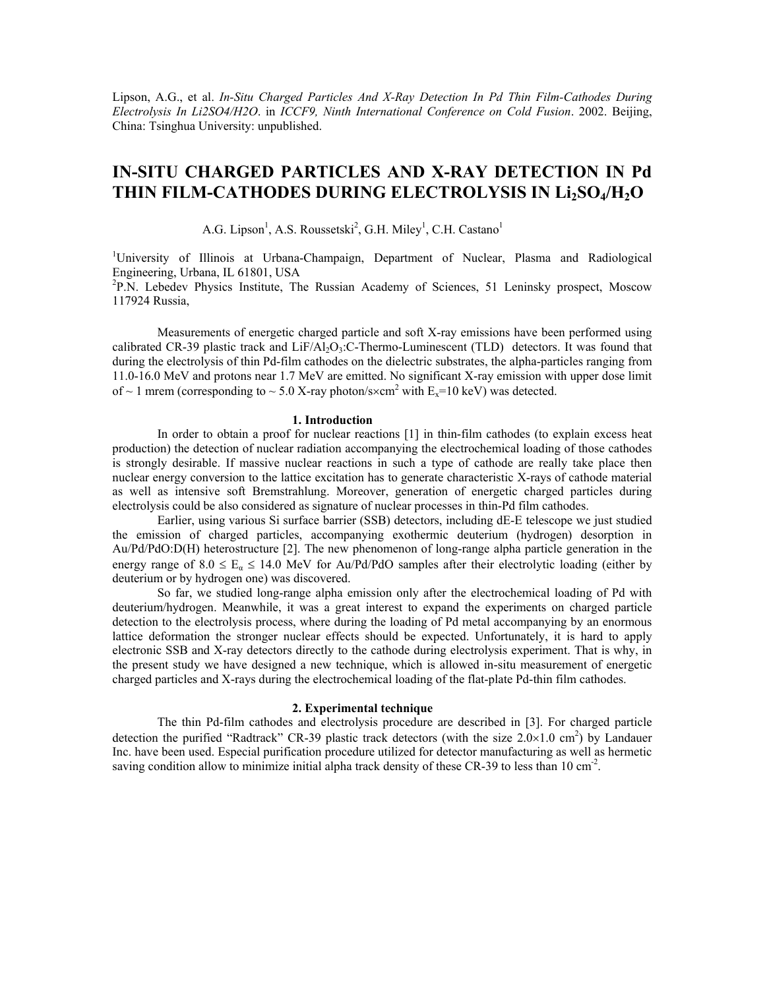Lipson, A.G., et al. *In-Situ Charged Particles And X-Ray Detection In Pd Thin Film-Cathodes During Electrolysis In Li2SO4/H2O*. in *ICCF9, Ninth International Conference on Cold Fusion*. 2002. Beijing, China: Tsinghua University: unpublished.

# **IN-SITU CHARGED PARTICLES AND X-RAY DETECTION IN Pd**  THIN FILM-CATHODES DURING ELECTROLYSIS IN Li<sub>2</sub>SO<sub>4</sub>/H<sub>2</sub>O

A.G. Lipson<sup>1</sup>, A.S. Roussetski<sup>2</sup>, G.H. Miley<sup>1</sup>, C.H. Castano<sup>1</sup>

<sup>1</sup>University of Illinois at Urbana-Champaign, Department of Nuclear, Plasma and Radiological Engineering, Urbana, IL 61801, USA

<sup>2</sup>P.N. Lebedev Physics Institute, The Russian Academy of Sciences, 51 Leninsky prospect, Moscow 117924 Russia,

 Measurements of energetic charged particle and soft X-ray emissions have been performed using calibrated CR-39 plastic track and  $LiF/A1<sub>2</sub>O<sub>3</sub>$ :C-Thermo-Luminescent (TLD) detectors. It was found that during the electrolysis of thin Pd-film cathodes on the dielectric substrates, the alpha-particles ranging from 11.0-16.0 MeV and protons near 1.7 MeV are emitted. No significant X-ray emission with upper dose limit of  $\sim$  1 mrem (corresponding to  $\sim$  5.0 X-ray photon/s $\times$ cm<sup>2</sup> with E<sub>x</sub>=10 keV) was detected.

# **1. Introduction**

In order to obtain a proof for nuclear reactions [1] in thin-film cathodes (to explain excess heat production) the detection of nuclear radiation accompanying the electrochemical loading of those cathodes is strongly desirable. If massive nuclear reactions in such a type of cathode are really take place then nuclear energy conversion to the lattice excitation has to generate characteristic X-rays of cathode material as well as intensive soft Bremstrahlung. Moreover, generation of energetic charged particles during electrolysis could be also considered as signature of nuclear processes in thin-Pd film cathodes.

Earlier, using various Si surface barrier (SSB) detectors, including dE-E telescope we just studied the emission of charged particles, accompanying exothermic deuterium (hydrogen) desorption in Au/Pd/PdO:D(H) heterostructure [2]. The new phenomenon of long-range alpha particle generation in the energy range of  $8.0 \le E_a \le 14.0$  MeV for Au/Pd/PdO samples after their electrolytic loading (either by deuterium or by hydrogen one) was discovered.

So far, we studied long-range alpha emission only after the electrochemical loading of Pd with deuterium/hydrogen. Meanwhile, it was a great interest to expand the experiments on charged particle detection to the electrolysis process, where during the loading of Pd metal accompanying by an enormous lattice deformation the stronger nuclear effects should be expected. Unfortunately, it is hard to apply electronic SSB and X-ray detectors directly to the cathode during electrolysis experiment. That is why, in the present study we have designed a new technique, which is allowed in-situ measurement of energetic charged particles and X-rays during the electrochemical loading of the flat-plate Pd-thin film cathodes.

# **2. Experimental technique**

The thin Pd-film cathodes and electrolysis procedure are described in [3]. For charged particle detection the purified "Radtrack" CR-39 plastic track detectors (with the size  $2.0 \times 1.0$  cm<sup>2</sup>) by Landauer Inc. have been used. Especial purification procedure utilized for detector manufacturing as well as hermetic saving condition allow to minimize initial alpha track density of these CR-39 to less than  $10 \text{ cm}^2$ .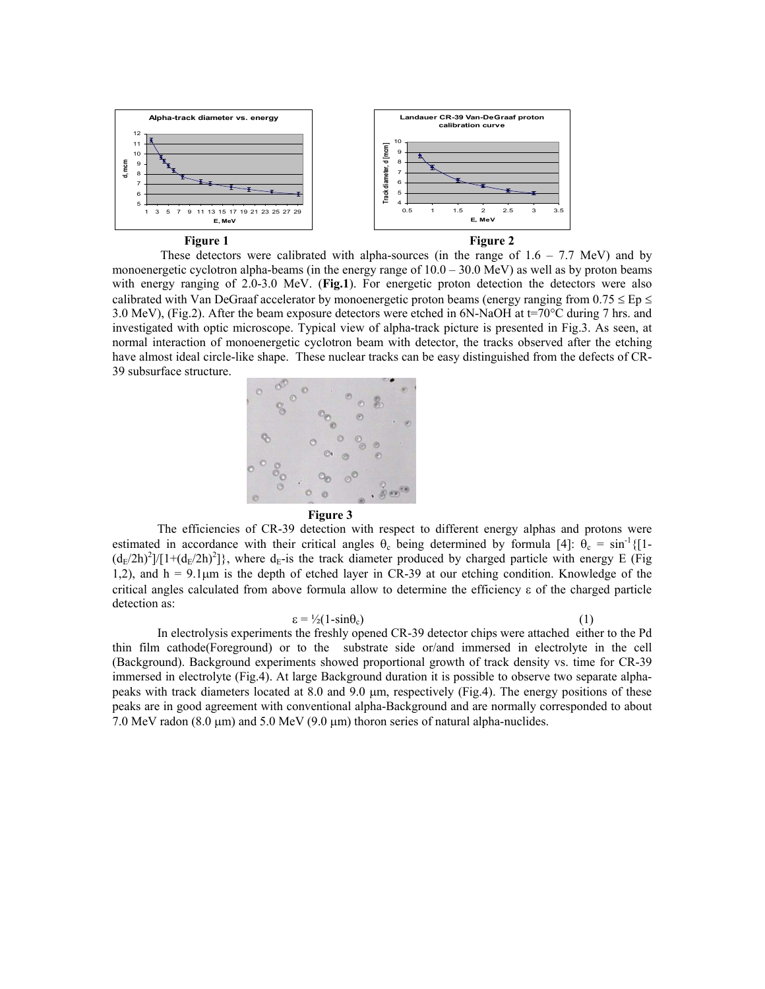

These detectors were calibrated with alpha-sources (in the range of  $1.6 - 7.7$  MeV) and by monoenergetic cyclotron alpha-beams (in the energy range of  $10.0 - 30.0$  MeV) as well as by proton beams with energy ranging of 2.0-3.0 MeV. (Fig.1). For energetic proton detection the detectors were also calibrated with Van DeGraaf accelerator by monoenergetic proton beams (energy ranging from  $0.75 \leq Ep \leq$ 3.0 MeV), (Fig.2). After the beam exposure detectors were etched in 6N-NaOH at t=70°C during 7 hrs. and investigated with optic microscope. Typical view of alpha-track picture is presented in Fig.3. As seen, at normal interaction of monoenergetic cyclotron beam with detector, the tracks observed after the etching have almost ideal circle-like shape. These nuclear tracks can be easy distinguished from the defects of CR-39 subsurface structure.





The efficiencies of CR-39 detection with respect to different energy alphas and protons were estimated in accordance with their critical angles  $\theta_c$  being determined by formula [4]:  $\theta_c = \sin^{-1}\{1\}$  $(d_E/2h)^2$ ]/[1+ $(d_E/2h)^2$ ]}, where  $d_E$ -is the track diameter produced by charged particle with energy E (Fig 1,2), and  $h = 9.1 \mu m$  is the depth of etched layer in CR-39 at our etching condition. Knowledge of the critical angles calculated from above formula allow to determine the efficiency ε of the charged particle detection as:

 $\varepsilon = \frac{1}{2} (1 - \sin \theta_c)$  (1)

In electrolysis experiments the freshly opened CR-39 detector chips were attached either to the Pd thin film cathode(Foreground) or to the substrate side or/and immersed in electrolyte in the cell (Background). Background experiments showed proportional growth of track density vs. time for CR-39 immersed in electrolyte (Fig.4). At large Background duration it is possible to observe two separate alphapeaks with track diameters located at 8.0 and 9.0  $\mu$ m, respectively (Fig.4). The energy positions of these peaks are in good agreement with conventional alpha-Background and are normally corresponded to about 7.0 MeV radon (8.0  $\mu$ m) and 5.0 MeV (9.0  $\mu$ m) thoron series of natural alpha-nuclides.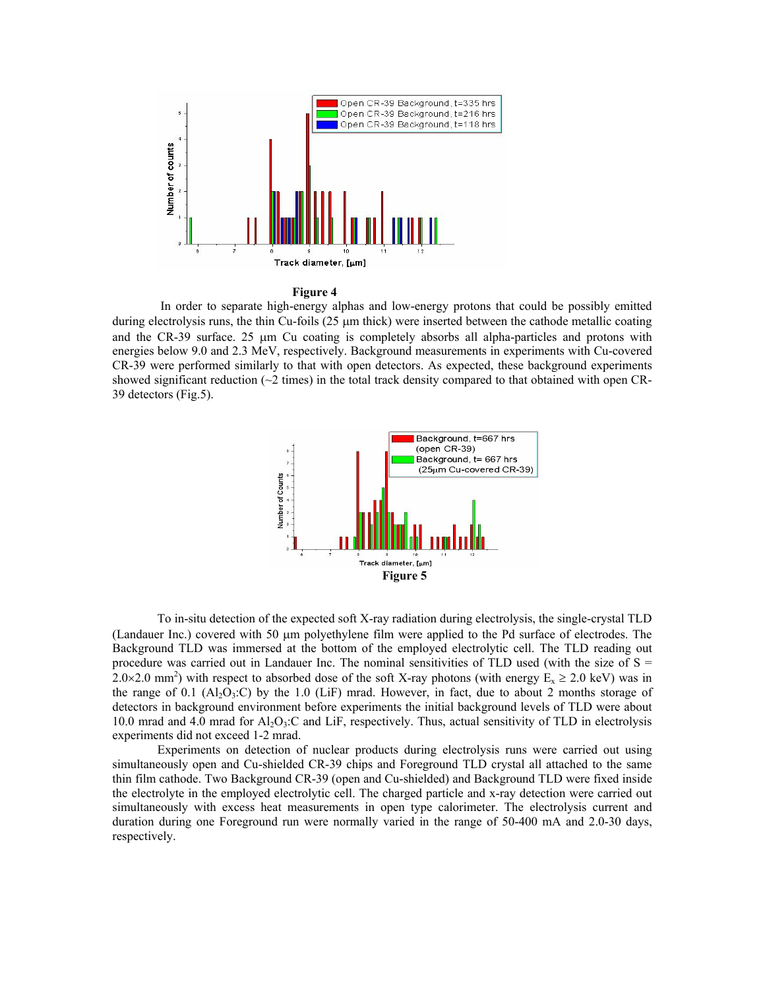

#### **Figure 4**

In order to separate high-energy alphas and low-energy protons that could be possibly emitted during electrolysis runs, the thin Cu-foils (25  $\mu$ m thick) were inserted between the cathode metallic coating and the CR-39 surface. 25 µm Cu coating is completely absorbs all alpha-particles and protons with energies below 9.0 and 2.3 MeV, respectively. Background measurements in experiments with Cu-covered CR-39 were performed similarly to that with open detectors. As expected, these background experiments showed significant reduction  $(\sim 2 \text{ times})$  in the total track density compared to that obtained with open CR-39 detectors (Fig.5).



To in-situ detection of the expected soft X-ray radiation during electrolysis, the single-crystal TLD (Landauer Inc.) covered with 50 µm polyethylene film were applied to the Pd surface of electrodes. The Background TLD was immersed at the bottom of the employed electrolytic cell. The TLD reading out procedure was carried out in Landauer Inc. The nominal sensitivities of TLD used (with the size of  $S =$ 2.0×2.0 mm<sup>2</sup>) with respect to absorbed dose of the soft X-ray photons (with energy  $E_x \ge 2.0$  keV) was in the range of 0.1 (Al<sub>2</sub>O<sub>3</sub>:C) by the 1.0 (LiF) mrad. However, in fact, due to about 2 months storage of detectors in background environment before experiments the initial background levels of TLD were about 10.0 mrad and 4.0 mrad for  $A_1O_3$ :C and LiF, respectively. Thus, actual sensitivity of TLD in electrolysis experiments did not exceed 1-2 mrad.

Experiments on detection of nuclear products during electrolysis runs were carried out using simultaneously open and Cu-shielded CR-39 chips and Foreground TLD crystal all attached to the same thin film cathode. Two Background CR-39 (open and Cu-shielded) and Background TLD were fixed inside the electrolyte in the employed electrolytic cell. The charged particle and x-ray detection were carried out simultaneously with excess heat measurements in open type calorimeter. The electrolysis current and duration during one Foreground run were normally varied in the range of 50-400 mA and 2.0-30 days, respectively.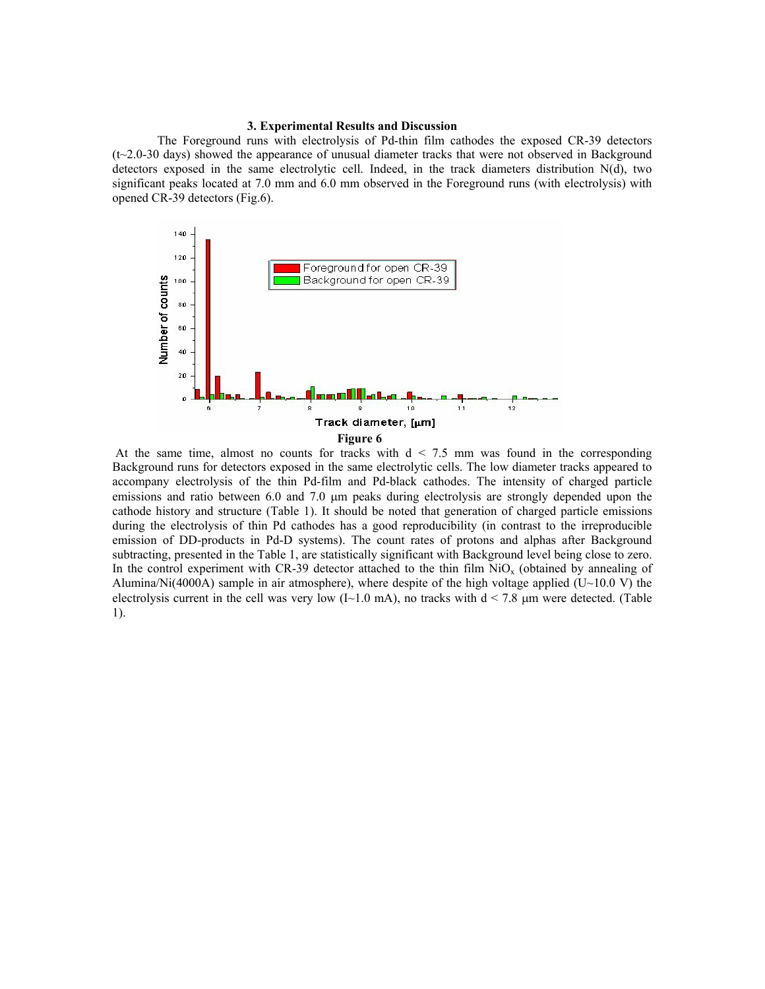# **3. Experimental Results and Discussion**

The Foreground runs with electrolysis of Pd-thin film cathodes the exposed CR-39 detectors (t~2.0-30 days) showed the appearance of unusual diameter tracks that were not observed in Background detectors exposed in the same electrolytic cell. Indeed, in the track diameters distribution N(d), two significant peaks located at 7.0 mm and 6.0 mm observed in the Foreground runs (with electrolysis) with opened CR-39 detectors (Fig.6).



At the same time, almost no counts for tracks with  $d < 7.5$  mm was found in the corresponding Background runs for detectors exposed in the same electrolytic cells. The low diameter tracks appeared to accompany electrolysis of the thin Pd-film and Pd-black cathodes. The intensity of charged particle emissions and ratio between 6.0 and 7.0  $\mu$ m peaks during electrolysis are strongly depended upon the cathode history and structure (Table 1). It should be noted that generation of charged particle emissions during the electrolysis of thin Pd cathodes has a good reproducibility (in contrast to the irreproducible emission of DD-products in Pd-D systems). The count rates of protons and alphas after Background subtracting, presented in the Table 1, are statistically significant with Background level being close to zero. In the control experiment with CR-39 detector attached to the thin film  $NiO<sub>x</sub>$  (obtained by annealing of Alumina/Ni(4000A) sample in air atmosphere), where despite of the high voltage applied (U~10.0 V) the electrolysis current in the cell was very low  $(I~1.0~mA)$ , no tracks with  $d < 7.8 \mu m$  were detected. (Table 1).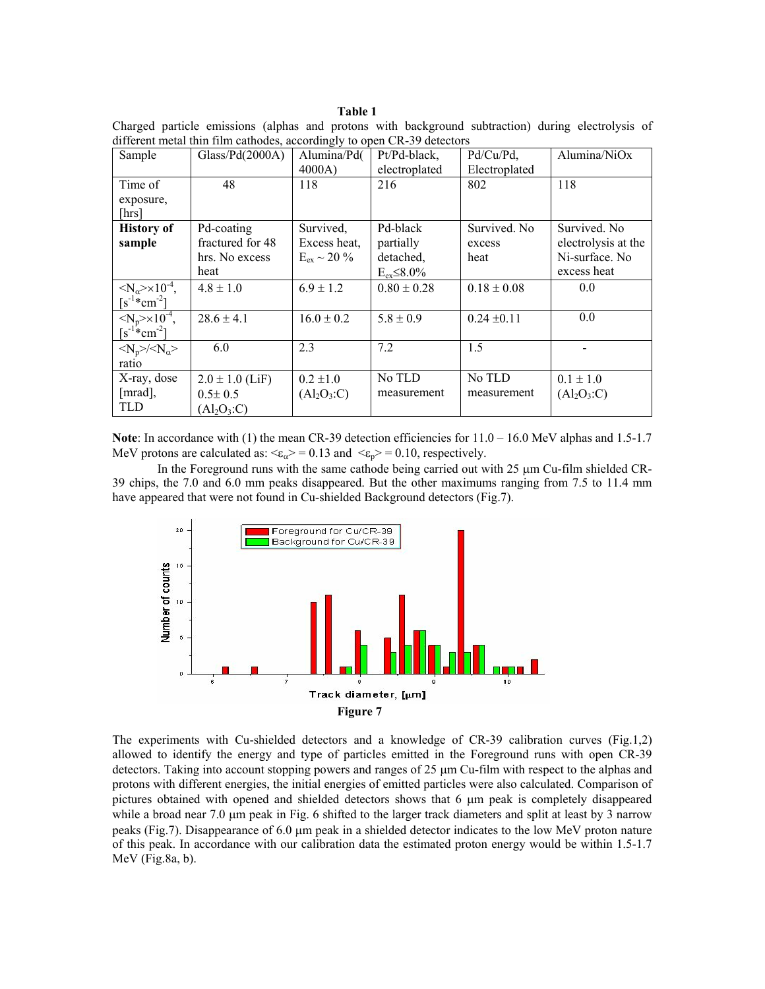#### **Table 1**

Charged particle emissions (alphas and protons with background subtraction) during electrolysis of different metal thin film cathodes, accordingly to open CR-39 detectors

| Sample                                        | Glass/Pd(2000A)     | Alumina/Pd(             | Pt/Pd-black,        | Pd/Cu/Pd,       | Alumina/NiOx        |
|-----------------------------------------------|---------------------|-------------------------|---------------------|-----------------|---------------------|
|                                               |                     |                         |                     |                 |                     |
|                                               |                     | 4000A)                  | electroplated       | Electroplated   |                     |
| Time of                                       | 48                  | 118                     | 216                 | 802             | 118                 |
| exposure,                                     |                     |                         |                     |                 |                     |
| [hrs]                                         |                     |                         |                     |                 |                     |
|                                               |                     |                         | Pd-black            | Survived. No.   | Survived. No.       |
| <b>History of</b>                             | Pd-coating          | Survived,               |                     |                 |                     |
| sample                                        | fractured for 48    | Excess heat,            | partially           | excess          | electrolysis at the |
|                                               | hrs. No excess      | $E_{\rm ex} \sim 20 \%$ | detached,           | heat            | Ni-surface. No      |
|                                               | heat                |                         | $E_{ex} \leq 8.0\%$ |                 | excess heat         |
|                                               |                     |                         |                     |                 | 0.0                 |
| $\langle N_{\alpha} \rangle \times 10^{-4}$ , | $4.8 \pm 1.0$       | $6.9 \pm 1.2$           | $0.80 \pm 0.28$     | $0.18 \pm 0.08$ |                     |
| $[s^{-1}$ *cm <sup>-2</sup> ]                 |                     |                         |                     |                 |                     |
| $\langle N_p \rangle \times 10^{-4}$ ,        | $28.6 \pm 4.1$      | $16.0 \pm 0.2$          | $5.8 \pm 0.9$       | $0.24 \pm 0.11$ | 0.0                 |
| $[s^{-1}$ *cm <sup>-2</sup> ]                 |                     |                         |                     |                 |                     |
| $<\!\!N_p\!\!>\!\!/\!\!<\!\!N_\alpha\!\!>$    | 6.0                 | 2.3                     | 7.2                 | 1.5             |                     |
| ratio                                         |                     |                         |                     |                 |                     |
| X-ray, dose                                   | $2.0 \pm 1.0$ (LiF) | $0.2 \pm 1.0$           | No TLD              | No TLD          | $0.1 \pm 1.0$       |
| [mrad],                                       | $0.5 \pm 0.5$       | $(Al_2O_3:C)$           | measurement         | measurement     | $(Al_2O_3:C)$       |
| <b>TLD</b>                                    | $(Al_2O_3:C)$       |                         |                     |                 |                     |
|                                               |                     |                         |                     |                 |                     |

**Note**: In accordance with (1) the mean CR-39 detection efficiencies for  $11.0 - 16.0$  MeV alphas and 1.5-1.7 MeV protons are calculated as:  $\epsilon_{\alpha}$  = 0.13 and  $\epsilon_{\alpha}$  = 0.10, respectively.

In the Foreground runs with the same cathode being carried out with  $25 \mu m$  Cu-film shielded CR-39 chips, the 7.0 and 6.0 mm peaks disappeared. But the other maximums ranging from 7.5 to 11.4 mm have appeared that were not found in Cu-shielded Background detectors (Fig.7).



The experiments with Cu-shielded detectors and a knowledge of CR-39 calibration curves (Fig.1,2) allowed to identify the energy and type of particles emitted in the Foreground runs with open CR-39 detectors. Taking into account stopping powers and ranges of 25 µm Cu-film with respect to the alphas and protons with different energies, the initial energies of emitted particles were also calculated. Comparison of pictures obtained with opened and shielded detectors shows that  $6 \mu m$  peak is completely disappeared while a broad near  $7.0 \mu m$  peak in Fig. 6 shifted to the larger track diameters and split at least by 3 narrow peaks (Fig.7). Disappearance of 6.0 µm peak in a shielded detector indicates to the low MeV proton nature of this peak. In accordance with our calibration data the estimated proton energy would be within 1.5-1.7 MeV (Fig.8a, b).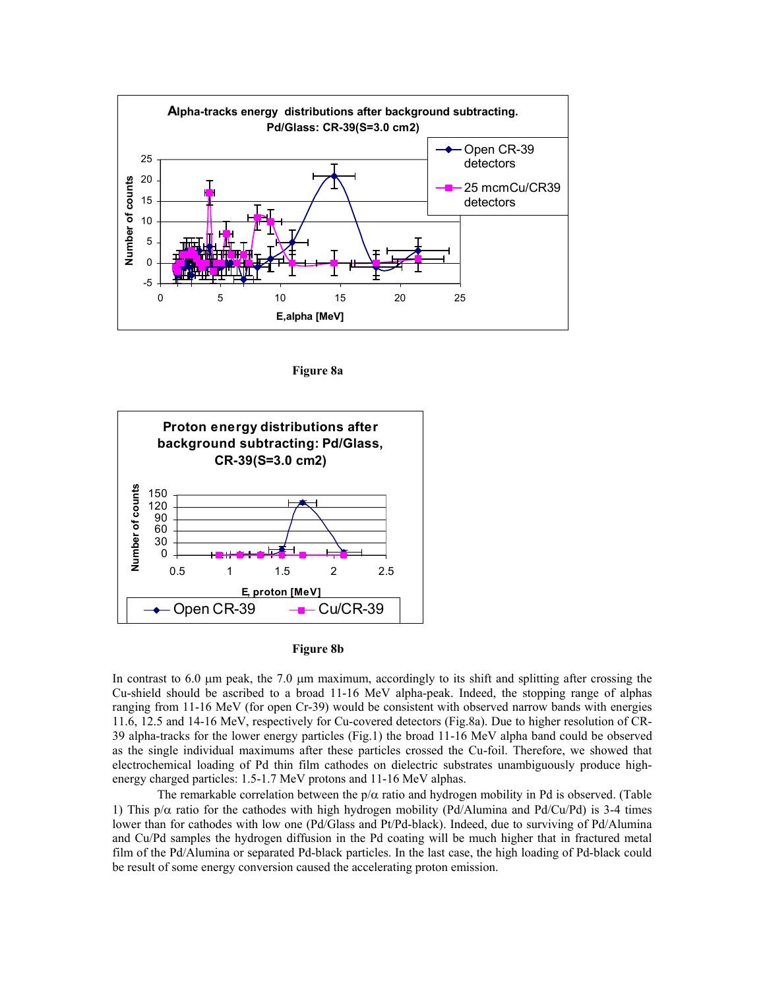

**Figure 8a** 



#### **Figure 8b**

In contrast to  $6.0 \mu$ m peak, the 7.0  $\mu$ m maximum, accordingly to its shift and splitting after crossing the Cu-shield should be ascribed to a broad 11-16 MeV alpha-peak. Indeed, the stopping range of alphas ranging from 11-16 MeV (for open Cr-39) would be consistent with observed narrow bands with energies 11.6, 12.5 and 14-16 MeV, respectively for Cu-covered detectors (Fig.8a). Due to higher resolution of CR-39 alpha-tracks for the lower energy particles (Fig.1) the broad 11-16 MeV alpha band could be observed as the single individual maximums after these particles crossed the Cu-foil. Therefore, we showed that electrochemical loading of Pd thin film cathodes on dielectric substrates unambiguously produce highenergy charged particles: 1.5-1.7 MeV protons and 11-16 MeV alphas.

The remarkable correlation between the  $p/\alpha$  ratio and hydrogen mobility in Pd is observed. (Table 1) This  $p/\alpha$  ratio for the cathodes with high hydrogen mobility (Pd/Alumina and Pd/Cu/Pd) is 3-4 times lower than for cathodes with low one (Pd/Glass and Pt/Pd-black). Indeed, due to surviving of Pd/Alumina and Cu/Pd samples the hydrogen diffusion in the Pd coating will be much higher that in fractured metal film of the Pd/Alumina or separated Pd-black particles. In the last case, the high loading of Pd-black could be result of some energy conversion caused the accelerating proton emission.